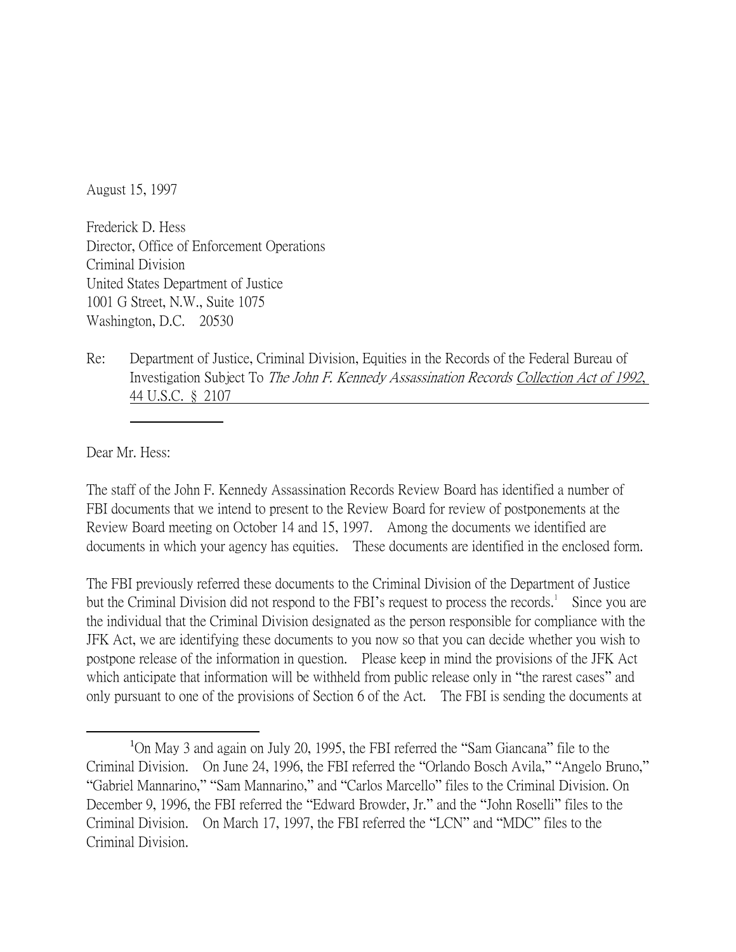August 15, 1997

Frederick D. Hess Director, Office of Enforcement Operations Criminal Division United States Department of Justice 1001 G Street, N.W., Suite 1075 Washington, D.C. 20530

Re: Department of Justice, Criminal Division, Equities in the Records of the Federal Bureau of Investigation Subject To The John F. Kennedy Assassination Records Collection Act of 1992, 44 U.S.C. § 2107

Dear Mr. Hess:

 $\overline{a}$ 

The staff of the John F. Kennedy Assassination Records Review Board has identified a number of FBI documents that we intend to present to the Review Board for review of postponements at the Review Board meeting on October 14 and 15, 1997. Among the documents we identified are documents in which your agency has equities. These documents are identified in the enclosed form.

The FBI previously referred these documents to the Criminal Division of the Department of Justice but the Criminal Division did not respond to the FBI's request to process the records.<sup>1</sup> Since you are the individual that the Criminal Division designated as the person responsible for compliance with the JFK Act, we are identifying these documents to you now so that you can decide whether you wish to postpone release of the information in question. Please keep in mind the provisions of the JFK Act which anticipate that information will be withheld from public release only in "the rarest cases" and only pursuant to one of the provisions of Section 6 of the Act. The FBI is sending the documents at

<sup>1</sup>On May 3 and again on July 20, 1995, the FBI referred the "Sam Giancana" file to the Criminal Division. On June 24, 1996, the FBI referred the "Orlando Bosch Avila," "Angelo Bruno," "Gabriel Mannarino," "Sam Mannarino," and "Carlos Marcello" files to the Criminal Division. On December 9, 1996, the FBI referred the "Edward Browder, Jr." and the "John Roselli" files to the Criminal Division. On March 17, 1997, the FBI referred the "LCN" and "MDC" files to the Criminal Division.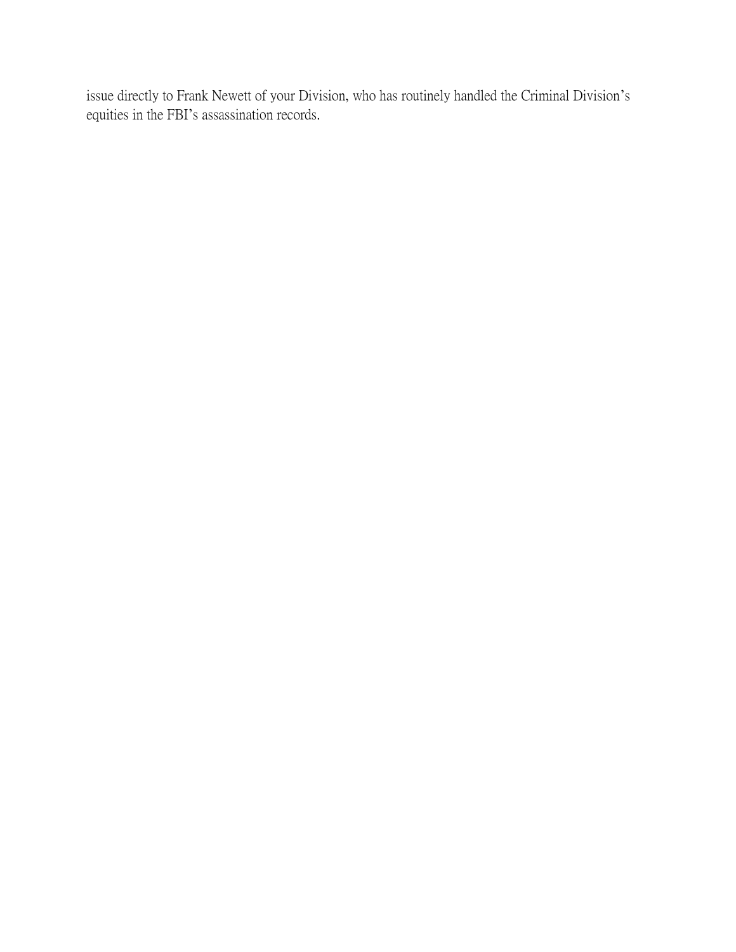issue directly to Frank Newett of your Division, who has routinely handled the Criminal Division's equities in the FBI's assassination records.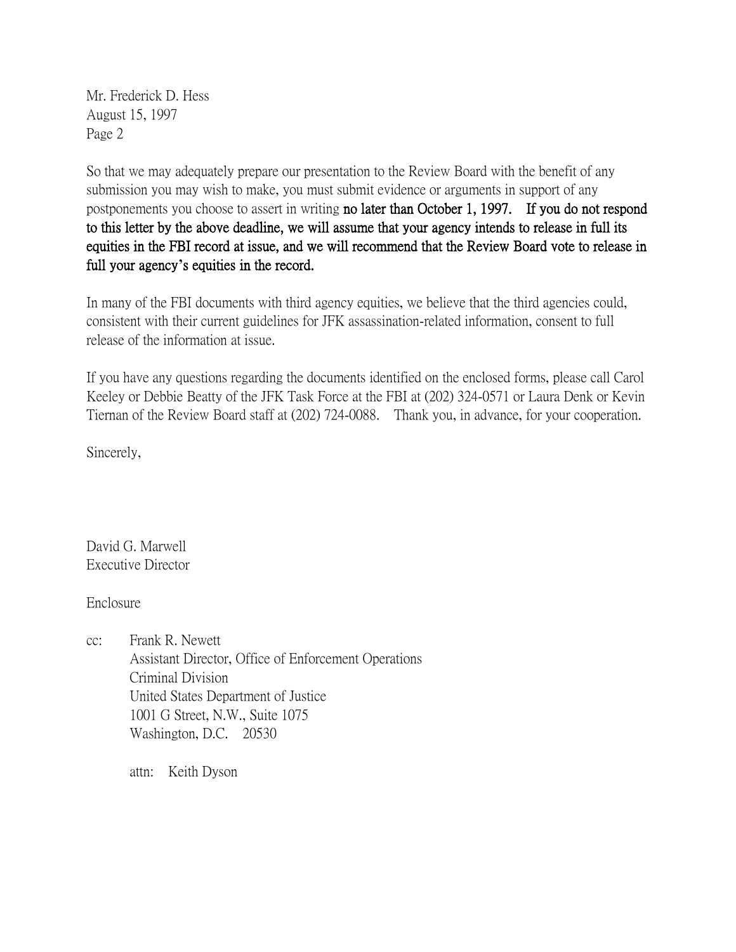Mr. Frederick D. Hess August 15, 1997 Page 2

So that we may adequately prepare our presentation to the Review Board with the benefit of any submission you may wish to make, you must submit evidence or arguments in support of any postponements you choose to assert in writing no later than October 1, 1997. If you do not respond to this letter by the above deadline, we will assume that your agency intends to release in full its equities in the FBI record at issue, and we will recommend that the Review Board vote to release in full your agency**'**s equities in the record.

In many of the FBI documents with third agency equities, we believe that the third agencies could, consistent with their current guidelines for JFK assassination-related information, consent to full release of the information at issue.

If you have any questions regarding the documents identified on the enclosed forms, please call Carol Keeley or Debbie Beatty of the JFK Task Force at the FBI at (202) 324-0571 or Laura Denk or Kevin Tiernan of the Review Board staff at (202) 724-0088. Thank you, in advance, for your cooperation.

Sincerely,

David G. Marwell Executive Director

Enclosure

cc: Frank R. Newett Assistant Director, Office of Enforcement Operations Criminal Division United States Department of Justice 1001 G Street, N.W., Suite 1075 Washington, D.C. 20530

attn: Keith Dyson